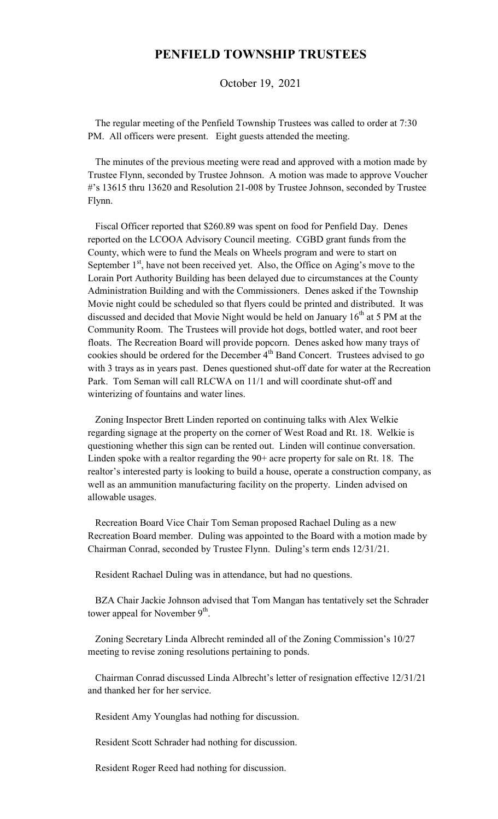## **PENFIELD TOWNSHIP TRUSTEES**

October 19, 2021

 The regular meeting of the Penfield Township Trustees was called to order at 7:30 PM. All officers were present. Eight guests attended the meeting.

 The minutes of the previous meeting were read and approved with a motion made by Trustee Flynn, seconded by Trustee Johnson. A motion was made to approve Voucher #'s 13615 thru 13620 and Resolution 21-008 by Trustee Johnson, seconded by Trustee Flynn.

 Fiscal Officer reported that \$260.89 was spent on food for Penfield Day. Denes reported on the LCOOA Advisory Council meeting. CGBD grant funds from the County, which were to fund the Meals on Wheels program and were to start on September  $1<sup>st</sup>$ , have not been received yet. Also, the Office on Aging's move to the Lorain Port Authority Building has been delayed due to circumstances at the County Administration Building and with the Commissioners. Denes asked if the Township Movie night could be scheduled so that flyers could be printed and distributed. It was discussed and decided that Movie Night would be held on January  $16<sup>th</sup>$  at 5 PM at the Community Room. The Trustees will provide hot dogs, bottled water, and root beer floats. The Recreation Board will provide popcorn. Denes asked how many trays of cookies should be ordered for the December 4<sup>th</sup> Band Concert. Trustees advised to go with 3 trays as in years past. Denes questioned shut-off date for water at the Recreation Park. Tom Seman will call RLCWA on 11/1 and will coordinate shut-off and winterizing of fountains and water lines.

 Zoning Inspector Brett Linden reported on continuing talks with Alex Welkie regarding signage at the property on the corner of West Road and Rt. 18. Welkie is questioning whether this sign can be rented out. Linden will continue conversation. Linden spoke with a realtor regarding the 90+ acre property for sale on Rt. 18. The realtor's interested party is looking to build a house, operate a construction company, as well as an ammunition manufacturing facility on the property. Linden advised on allowable usages.

 Recreation Board Vice Chair Tom Seman proposed Rachael Duling as a new Recreation Board member. Duling was appointed to the Board with a motion made by Chairman Conrad, seconded by Trustee Flynn. Duling's term ends 12/31/21.

Resident Rachael Duling was in attendance, but had no questions.

 BZA Chair Jackie Johnson advised that Tom Mangan has tentatively set the Schrader tower appeal for November 9<sup>th</sup>.

 Zoning Secretary Linda Albrecht reminded all of the Zoning Commission's 10/27 meeting to revise zoning resolutions pertaining to ponds.

 Chairman Conrad discussed Linda Albrecht's letter of resignation effective 12/31/21 and thanked her for her service.

Resident Amy Younglas had nothing for discussion.

Resident Scott Schrader had nothing for discussion.

Resident Roger Reed had nothing for discussion.